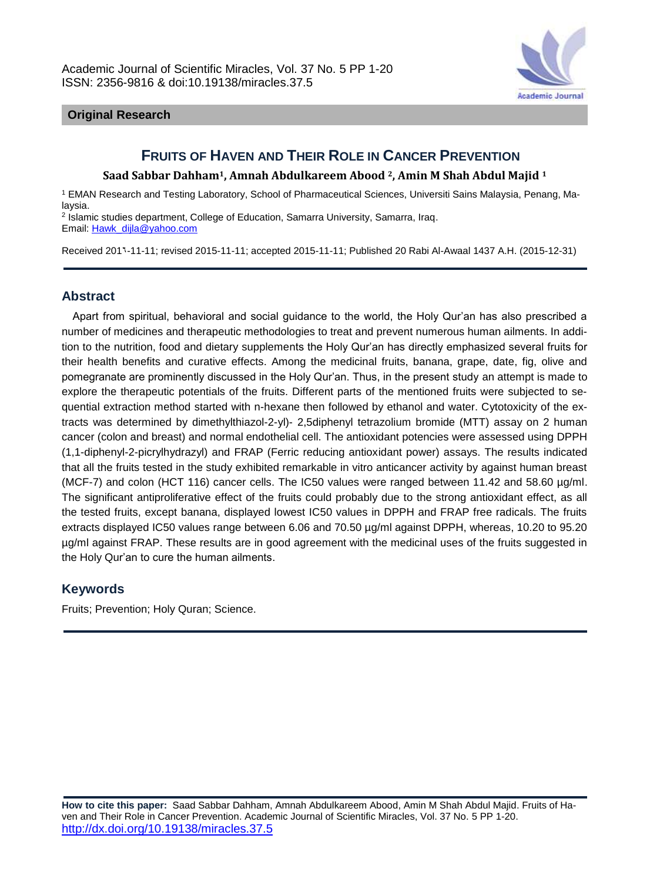

#### **Original Research**

# **FRUITS OF HAVEN AND THEIR ROLE IN CANCER PREVENTION**

#### **Saad Sabbar Dahham1, Amnah Abdulkareem Abood 2, Amin M Shah Abdul Majid <sup>1</sup>**

<sup>1</sup> EMAN Research and Testing Laboratory, School of Pharmaceutical Sciences, Universiti Sains Malaysia, Penang, Malaysia.

2 Islamic studies department, College of Education, Samarra University, Samarra, Iraq. Email: [Hawk\\_dijla@yahoo.com](mailto:Hawk_dijla@yahoo.com)

Received 2016-11-11; revised 2015-11-11; accepted 2015-11-11; Published 20 Rabi Al-Awaal 1437 A.H. (2015-12-31)

# **Abstract**

Apart from spiritual, behavioral and social guidance to the world, the Holy Qur'an has also prescribed a number of medicines and therapeutic methodologies to treat and prevent numerous human ailments. In addition to the nutrition, food and dietary supplements the Holy Qur'an has directly emphasized several fruits for their health benefits and curative effects. Among the medicinal fruits, banana, grape, date, fig, olive and pomegranate are prominently discussed in the Holy Qur'an. Thus, in the present study an attempt is made to explore the therapeutic potentials of the fruits. Different parts of the mentioned fruits were subjected to sequential extraction method started with n-hexane then followed by ethanol and water. Cytotoxicity of the extracts was determined by dimethylthiazol-2-yl)- 2,5diphenyl tetrazolium bromide (MTT) assay on 2 human cancer (colon and breast) and normal endothelial cell. The antioxidant potencies were assessed using DPPH (1,1-diphenyl-2-picrylhydrazyl) and FRAP (Ferric reducing antioxidant power) assays. The results indicated that all the fruits tested in the study exhibited remarkable in vitro anticancer activity by against human breast (MCF-7) and colon (HCT 116) cancer cells. The IC50 values were ranged between 11.42 and 58.60 µg/ml. The significant antiproliferative effect of the fruits could probably due to the strong antioxidant effect, as all the tested fruits, except banana, displayed lowest IC50 values in DPPH and FRAP free radicals. The fruits extracts displayed IC50 values range between 6.06 and 70.50 µg/ml against DPPH, whereas, 10.20 to 95.20 µg/ml against FRAP. These results are in good agreement with the medicinal uses of the fruits suggested in the Holy Qur'an to cure the human ailments.

#### **Keywords**

Fruits; Prevention; Holy Quran; Science.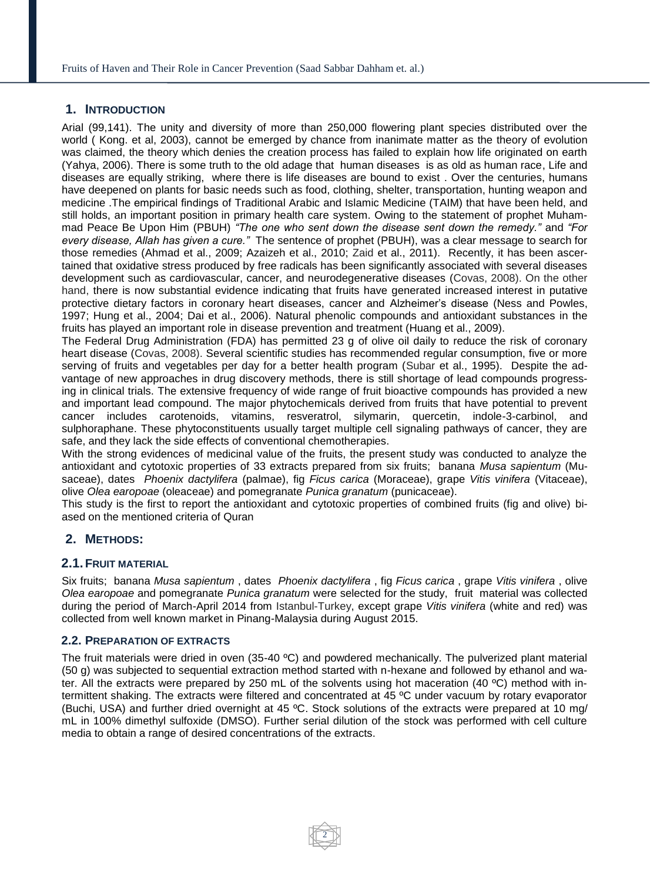#### **1. INTRODUCTION**

Arial (99,141). The unity and diversity of more than 250,000 flowering plant species distributed over the world ( Kong. et al, 2003), cannot be emerged by chance from inanimate matter as the theory of evolution was claimed, the theory which denies the creation process has failed to explain how life originated on earth (Yahya, 2006). There is some truth to the old adage that human diseases is as old as human race, Life and diseases are equally striking, where there is life diseases are bound to exist . Over the centuries, humans have deepened on plants for basic needs such as food, clothing, shelter, transportation, hunting weapon and medicine .The empirical findings of Traditional Arabic and Islamic Medicine (TAIM) that have been held, and still holds, an important position in primary health care system. Owing to the statement of prophet Muhammad Peace Be Upon Him (PBUH) *"The one who sent down the disease sent down the remedy."* and *"For every disease, Allah has given a cure."* The sentence of prophet (PBUH), was a clear message to search for those remedies (Ahmad et al., 2009; Azaizeh et al., 2010; Zaid et al., 2011). Recently, it has been ascertained that oxidative stress produced by free radicals has been significantly associated with several diseases development such as cardiovascular, cancer, and neurodegenerative diseases (Covas, 2008). On the other hand, there is now substantial evidence indicating that fruits have generated increased interest in putative protective dietary factors in coronary heart diseases, cancer and Alzheimer's disease (Ness and Powles, 1997; Hung et al., 2004; Dai et al., 2006). Natural phenolic compounds and antioxidant substances in the fruits has played an important role in disease prevention and treatment (Huang et al., 2009).

The Federal Drug Administration (FDA) has permitted 23 g of olive oil daily to reduce the risk of coronary heart disease (Covas, 2008). Several scientific studies has recommended regular consumption, five or more serving of fruits and vegetables per day for a better health program (Subar et al., 1995). Despite the advantage of new approaches in drug discovery methods, there is still shortage of lead compounds progressing in clinical trials. The extensive frequency of wide range of fruit bioactive compounds has provided a new and important lead compound. The major phytochemicals derived from fruits that have potential to prevent cancer includes carotenoids, vitamins, resveratrol, silymarin, quercetin, indole-3-carbinol, and sulphoraphane. These phytoconstituents usually target multiple cell signaling pathways of cancer, they are safe, and they lack the side effects of conventional chemotherapies.

With the strong evidences of medicinal value of the fruits, the present study was conducted to analyze the antioxidant and cytotoxic properties of 33 extracts prepared from six fruits; banana *Musa sapientum* (Musaceae), dates *Phoenix dactylifera* (palmae), fig *Ficus carica* (Moraceae), grape *Vitis vinifera* (Vitaceae), olive *Olea earopoae* (oleaceae) and pomegranate *Punica granatum* (punicaceae).

This study is the first to report the antioxidant and cytotoxic properties of combined fruits (fig and olive) biased on the mentioned criteria of Quran

#### **2. METHODS:**

#### **2.1.FRUIT MATERIAL**

Six fruits; banana *Musa sapientum* , dates *Phoenix dactylifera* , fig *Ficus carica* , grape *Vitis vinifera* , olive *Olea earopoae* and pomegranate *Punica granatum* were selected for the study, fruit material was collected during the period of March-April 2014 from Istanbul-Turkey, except grape *Vitis vinifera* (white and red) was collected from well known market in Pinang-Malaysia during August 2015.

#### **2.2. PREPARATION OF EXTRACTS**

The fruit materials were dried in oven (35-40 ºC) and powdered mechanically. The pulverized plant material (50 g) was subjected to sequential extraction method started with n-hexane and followed by ethanol and water. All the extracts were prepared by 250 mL of the solvents using hot maceration (40 ºC) method with intermittent shaking. The extracts were filtered and concentrated at 45 ºC under vacuum by rotary evaporator (Buchi, USA) and further dried overnight at 45 ºC. Stock solutions of the extracts were prepared at 10 mg/ mL in 100% dimethyl sulfoxide (DMSO). Further serial dilution of the stock was performed with cell culture media to obtain a range of desired concentrations of the extracts.

2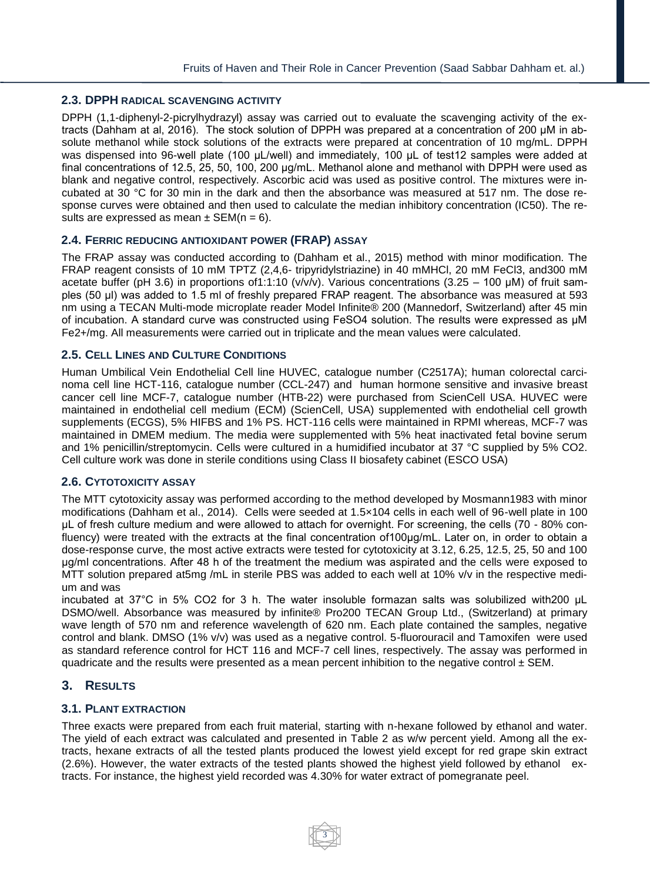#### **2.3. DPPH RADICAL SCAVENGING ACTIVITY**

DPPH (1,1-diphenyl-2-picrylhydrazyl) assay was carried out to evaluate the scavenging activity of the extracts (Dahham at al, 2016). The stock solution of DPPH was prepared at a concentration of 200 μM in absolute methanol while stock solutions of the extracts were prepared at concentration of 10 mg/mL. DPPH was dispensed into 96-well plate (100 μL/well) and immediately, 100 μL of test12 samples were added at final concentrations of 12.5, 25, 50, 100, 200 μg/mL. Methanol alone and methanol with DPPH were used as blank and negative control, respectively. Ascorbic acid was used as positive control. The mixtures were incubated at 30 °C for 30 min in the dark and then the absorbance was measured at 517 nm. The dose response curves were obtained and then used to calculate the median inhibitory concentration (IC50). The results are expressed as mean  $\pm$  SEM(n = 6).

#### **2.4. FERRIC REDUCING ANTIOXIDANT POWER (FRAP) ASSAY**

The FRAP assay was conducted according to (Dahham et al., 2015) method with minor modification. The FRAP reagent consists of 10 mM TPTZ (2,4,6- tripyridylstriazine) in 40 mMHCl, 20 mM FeCl3, and300 mM acetate buffer (pH 3.6) in proportions of1:1:10 (v/v/v). Various concentrations (3.25 – 100 μM) of fruit samples (50 μl) was added to 1.5 ml of freshly prepared FRAP reagent. The absorbance was measured at 593 nm using a TECAN Multi-mode microplate reader Model Infinite® 200 (Mannedorf, Switzerland) after 45 min of incubation. A standard curve was constructed using FeSO4 solution. The results were expressed as μM Fe2+/mg. All measurements were carried out in triplicate and the mean values were calculated.

#### **2.5. CELL LINES AND CULTURE CONDITIONS**

Human Umbilical Vein Endothelial Cell line HUVEC, catalogue number (C2517A); human colorectal carcinoma cell line HCT-116, catalogue number (CCL-247) and human hormone sensitive and invasive breast cancer cell line MCF-7, catalogue number (HTB-22) were purchased from ScienCell USA. HUVEC were maintained in endothelial cell medium (ECM) (ScienCell, USA) supplemented with endothelial cell growth supplements (ECGS), 5% HIFBS and 1% PS. HCT-116 cells were maintained in RPMI whereas, MCF-7 was maintained in DMEM medium. The media were supplemented with 5% heat inactivated fetal bovine serum and 1% penicillin/streptomycin. Cells were cultured in a humidified incubator at 37 °C supplied by 5% CO2. Cell culture work was done in sterile conditions using Class II biosafety cabinet (ESCO USA)

#### **2.6. CYTOTOXICITY ASSAY**

The MTT cytotoxicity assay was performed according to the method developed by Mosmann1983 with minor modifications (Dahham et al., 2014). Cells were seeded at 1.5×104 cells in each well of 96-well plate in 100 μL of fresh culture medium and were allowed to attach for overnight. For screening, the cells (70 - 80% confluency) were treated with the extracts at the final concentration of100μg/mL. Later on, in order to obtain a dose-response curve, the most active extracts were tested for cytotoxicity at 3.12, 6.25, 12.5, 25, 50 and 100 μg/ml concentrations. After 48 h of the treatment the medium was aspirated and the cells were exposed to MTT solution prepared at5mg /mL in sterile PBS was added to each well at 10% v/v in the respective medium and was

incubated at 37°C in 5% CO2 for 3 h. The water insoluble formazan salts was solubilized with200 μL DSMO/well. Absorbance was measured by infinite® Pro200 TECAN Group Ltd., (Switzerland) at primary wave length of 570 nm and reference wavelength of 620 nm. Each plate contained the samples, negative control and blank. DMSO (1% v/v) was used as a negative control. 5-fluorouracil and Tamoxifen were used as standard reference control for HCT 116 and MCF-7 cell lines, respectively. The assay was performed in quadricate and the results were presented as a mean percent inhibition to the negative control  $\pm$  SEM.

#### **3. RESULTS**

#### **3.1. PLANT EXTRACTION**

Three exacts were prepared from each fruit material, starting with n-hexane followed by ethanol and water. The yield of each extract was calculated and presented in Table 2 as w/w percent yield. Among all the extracts, hexane extracts of all the tested plants produced the lowest yield except for red grape skin extract (2.6%). However, the water extracts of the tested plants showed the highest yield followed by ethanol extracts. For instance, the highest yield recorded was 4.30% for water extract of pomegranate peel.

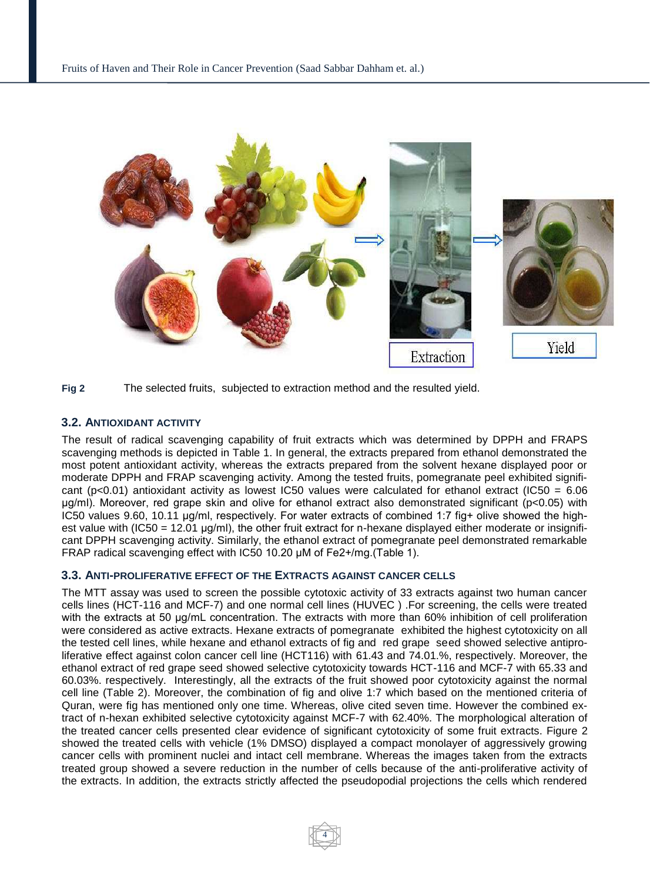



#### **3.2. ANTIOXIDANT ACTIVITY**

The result of radical scavenging capability of fruit extracts which was determined by DPPH and FRAPS scavenging methods is depicted in Table 1. In general, the extracts prepared from ethanol demonstrated the most potent antioxidant activity, whereas the extracts prepared from the solvent hexane displayed poor or moderate DPPH and FRAP scavenging activity. Among the tested fruits, pomegranate peel exhibited significant (p<0.01) antioxidant activity as lowest IC50 values were calculated for ethanol extract (IC50 =  $6.06$ ) μg/ml). Moreover, red grape skin and olive for ethanol extract also demonstrated significant (p<0.05) with IC50 values 9.60, 10.11 μg/ml, respectively. For water extracts of combined 1:7 fig+ olive showed the highest value with (IC50 = 12.01 μg/ml), the other fruit extract for n-hexane displayed either moderate or insignificant DPPH scavenging activity. Similarly, the ethanol extract of pomegranate peel demonstrated remarkable FRAP radical scavenging effect with IC50 10.20 μM of Fe2+/mg.(Table 1).

#### **3.3. ANTI-PROLIFERATIVE EFFECT OF THE EXTRACTS AGAINST CANCER CELLS**

The MTT assay was used to screen the possible cytotoxic activity of 33 extracts against two human cancer cells lines (HCT-116 and MCF-7) and one normal cell lines (HUVEC ) .For screening, the cells were treated with the extracts at 50 μg/mL concentration. The extracts with more than 60% inhibition of cell proliferation were considered as active extracts. Hexane extracts of pomegranateexhibited the highest cytotoxicity on all the tested cell lines, while hexane and ethanol extracts of fig and red grape seed showed selective antiproliferative effect against colon cancer cell line (HCT116) with 61.43 and 74.01.%, respectively. Moreover, the ethanol extract of red grape seed showed selective cytotoxicity towards HCT-116 and MCF-7 with 65.33 and 60.03%. respectively. Interestingly, all the extracts of the fruit showed poor cytotoxicity against the normal cell line (Table 2). Moreover, the combination of fig and olive 1:7 which based on the mentioned criteria of Quran, were fig has mentioned only one time. Whereas, olive cited seven time. However the combined extract of n-hexan exhibited selective cytotoxicity against MCF-7 with 62.40%. The morphological alteration of the treated cancer cells presented clear evidence of significant cytotoxicity of some fruit extracts. Figure 2 showed the treated cells with vehicle (1% DMSO) displayed a compact monolayer of aggressively growing cancer cells with prominent nuclei and intact cell membrane. Whereas the images taken from the extracts treated group showed a severe reduction in the number of cells because of the anti-proliferative activity of the extracts. In addition, the extracts strictly affected the pseudopodial projections the cells which rendered

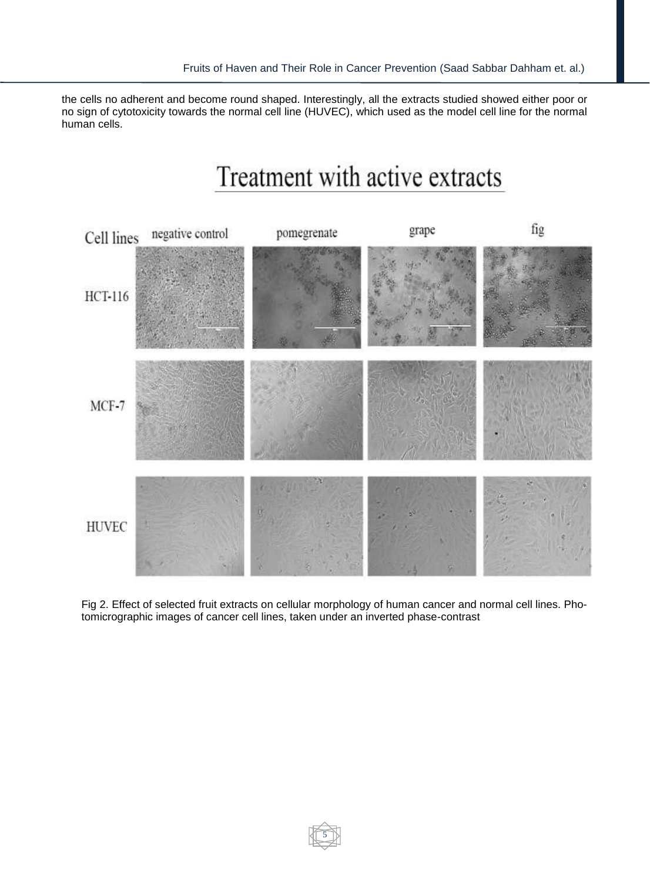the cells no adherent and become round shaped. Interestingly, all the extracts studied showed either poor or no sign of cytotoxicity towards the normal cell line (HUVEC), which used as the model cell line for the normal human cells.

# Treatment with active extracts



Fig 2. Effect of selected fruit extracts on cellular morphology of human cancer and normal cell lines. Photomicrographic images of cancer cell lines, taken under an inverted phase-contrast

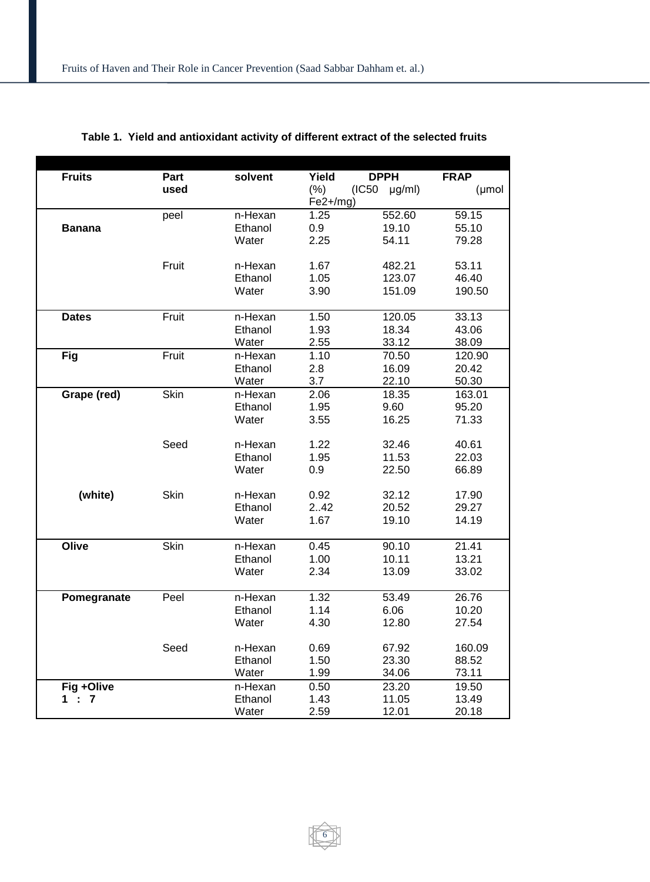| <b>Fruits</b> | Part  | solvent | Yield      | <b>DPPH</b>           | <b>FRAP</b> |
|---------------|-------|---------|------------|-----------------------|-------------|
|               | used  |         | (%)        | (IC50)<br>$\mu$ g/ml) | (µmol       |
|               |       |         | $Fe2+/mg)$ |                       |             |
|               | peel  | n-Hexan | 1.25       | 552.60                | 59.15       |
| <b>Banana</b> |       | Ethanol | 0.9        | 19.10                 | 55.10       |
|               |       | Water   | 2.25       | 54.11                 | 79.28       |
|               |       |         |            |                       |             |
|               | Fruit | n-Hexan | 1.67       | 482.21                | 53.11       |
|               |       | Ethanol | 1.05       | 123.07                | 46.40       |
|               |       | Water   | 3.90       | 151.09                | 190.50      |
| <b>Dates</b>  | Fruit | n-Hexan | 1.50       | 120.05                | 33.13       |
|               |       | Ethanol | 1.93       | 18.34                 | 43.06       |
|               |       | Water   | 2.55       | 33.12                 | 38.09       |
| Fig           | Fruit | n-Hexan | 1.10       | 70.50                 | 120.90      |
|               |       | Ethanol | 2.8        | 16.09                 | 20.42       |
|               |       | Water   | 3.7        | 22.10                 | 50.30       |
| Grape (red)   | Skin  | n-Hexan | 2.06       | 18.35                 | 163.01      |
|               |       | Ethanol | 1.95       | 9.60                  | 95.20       |
|               |       | Water   | 3.55       | 16.25                 | 71.33       |
|               |       |         |            |                       |             |
|               | Seed  | n-Hexan | 1.22       | 32.46                 | 40.61       |
|               |       | Ethanol | 1.95       | 11.53                 | 22.03       |
|               |       | Water   | 0.9        | 22.50                 | 66.89       |
| (white)       | Skin  | n-Hexan | 0.92       | 32.12                 | 17.90       |
|               |       | Ethanol | 2.42       | 20.52                 | 29.27       |
|               |       | Water   | 1.67       | 19.10                 | 14.19       |
|               |       |         |            |                       |             |
| Olive         | Skin  | n-Hexan | 0.45       | 90.10                 | 21.41       |
|               |       | Ethanol | 1.00       | 10.11                 | 13.21       |
|               |       | Water   | 2.34       | 13.09                 | 33.02       |
| Pomegranate   | Peel  | n-Hexan | 1.32       | 53.49                 | 26.76       |
|               |       | Ethanol | 1.14       | 6.06                  | 10.20       |
|               |       | Water   | 4.30       | 12.80                 | 27.54       |
|               |       |         |            |                       |             |
|               | Seed  | n-Hexan | 0.69       | 67.92                 | 160.09      |
|               |       | Ethanol | 1.50       | 23.30                 | 88.52       |
|               |       | Water   | 1.99       | 34.06                 | 73.11       |
| Fig +Olive    |       | n-Hexan | 0.50       | 23.20                 | 19.50       |
| 1:7           |       | Ethanol | 1.43       | 11.05                 | 13.49       |
|               |       | Water   | 2.59       | 12.01                 | 20.18       |

# **Table 1. Yield and antioxidant activity of different extract of the selected fruits**

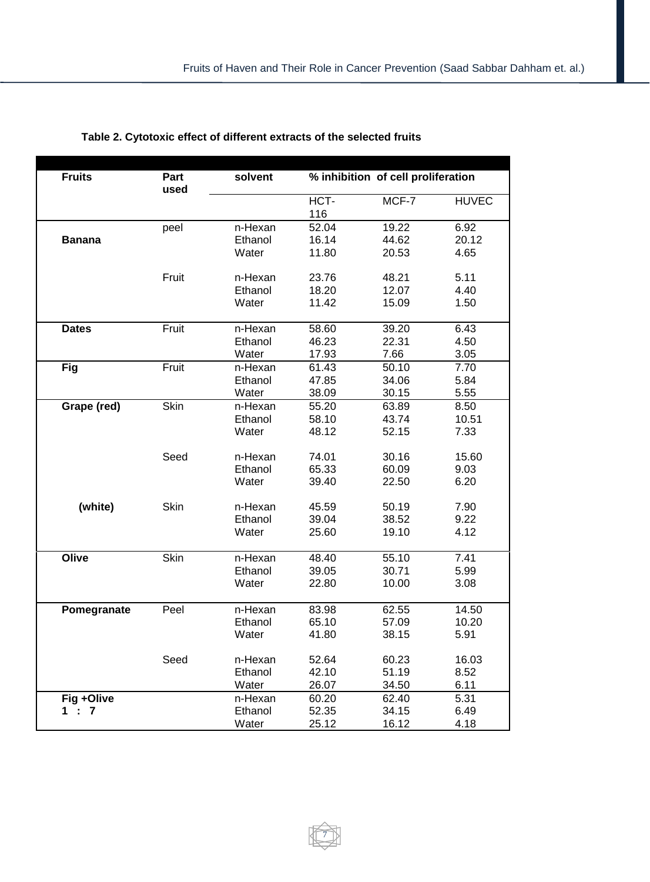| <b>Fruits</b> | Part        | solvent | % inhibition of cell proliferation |       |              |
|---------------|-------------|---------|------------------------------------|-------|--------------|
|               | used        |         |                                    |       |              |
|               |             |         | HCT-                               | MCF-7 | <b>HUVEC</b> |
|               |             |         | 116                                |       |              |
|               | peel        | n-Hexan | 52.04                              | 19.22 | 6.92         |
| <b>Banana</b> |             | Ethanol | 16.14                              | 44.62 | 20.12        |
|               |             | Water   | 11.80                              | 20.53 | 4.65         |
|               |             |         |                                    |       |              |
|               | Fruit       | n-Hexan | 23.76                              | 48.21 | 5.11         |
|               |             | Ethanol | 18.20                              | 12.07 | 4.40         |
|               |             | Water   | 11.42                              | 15.09 | 1.50         |
|               |             |         |                                    |       |              |
| <b>Dates</b>  | Fruit       | n-Hexan | 58.60                              | 39.20 | 6.43         |
|               |             | Ethanol | 46.23                              | 22.31 | 4.50         |
|               |             | Water   | 17.93                              | 7.66  | 3.05         |
| <b>Fig</b>    | Fruit       | n-Hexan | 61.43                              | 50.10 | 7.70         |
|               |             | Ethanol | 47.85                              | 34.06 | 5.84         |
|               |             | Water   | 38.09                              | 30.15 | 5.55         |
| Grape (red)   | Skin        | n-Hexan | 55.20                              | 63.89 | 8.50         |
|               |             | Ethanol | 58.10                              | 43.74 | 10.51        |
|               |             | Water   | 48.12                              | 52.15 | 7.33         |
|               |             |         |                                    |       |              |
|               | Seed        | n-Hexan | 74.01                              | 30.16 | 15.60        |
|               |             | Ethanol | 65.33                              | 60.09 | 9.03         |
|               |             | Water   | 39.40                              | 22.50 | 6.20         |
|               |             |         |                                    |       |              |
| (white)       | Skin        | n-Hexan | 45.59                              | 50.19 | 7.90         |
|               |             | Ethanol | 39.04                              | 38.52 | 9.22         |
|               |             | Water   | 25.60                              | 19.10 | 4.12         |
| Olive         | <b>Skin</b> | n-Hexan | 48.40                              | 55.10 | 7.41         |
|               |             | Ethanol | 39.05                              | 30.71 | 5.99         |
|               |             | Water   | 22.80                              | 10.00 | 3.08         |
|               |             |         |                                    |       |              |
| Pomegranate   | Peel        | n-Hexan | 83.98                              | 62.55 | 14.50        |
|               |             | Ethanol | 65.10                              | 57.09 | 10.20        |
|               |             | Water   | 41.80                              | 38.15 | 5.91         |
|               |             |         |                                    |       |              |
|               | Seed        | n-Hexan | 52.64                              | 60.23 | 16.03        |
|               |             | Ethanol | 42.10                              | 51.19 | 8.52         |
|               |             | Water   | 26.07                              | 34.50 | 6.11         |
| Fig +Olive    |             | n-Hexan | 60.20                              | 62.40 | 5.31         |
| 1 : 7         |             | Ethanol | 52.35                              | 34.15 | 6.49         |
|               |             | Water   | 25.12                              | 16.12 | 4.18         |

7

# **Table 2. Cytotoxic effect of different extracts of the selected fruits**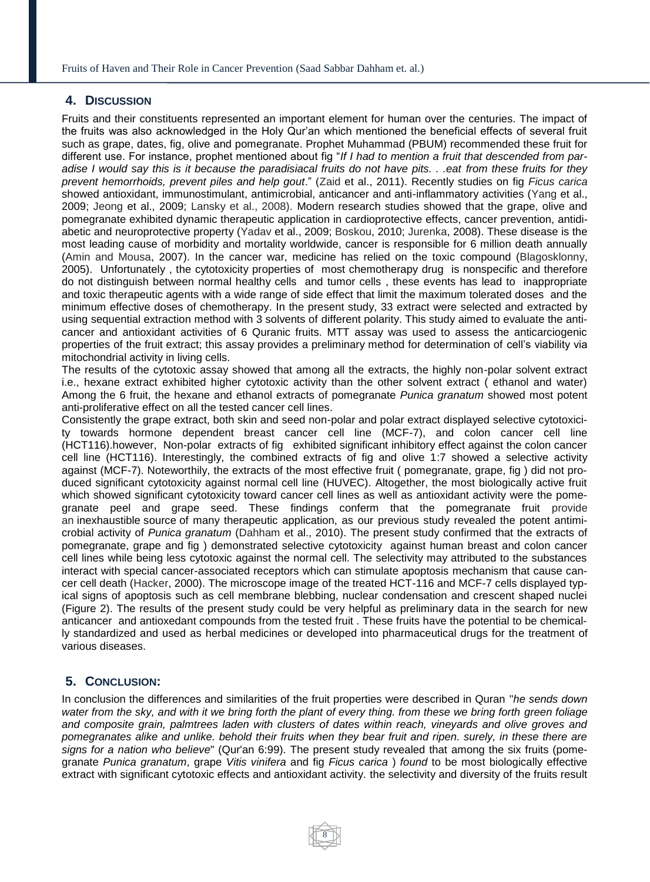#### **4. DISCUSSION**

Fruits and their constituents represented an important element for human over the centuries. The impact of the fruits was also acknowledged in the Holy Qur'an which mentioned the beneficial effects of several fruit such as grape, dates, fig, olive and pomegranate. Prophet Muhammad (PBUM) recommended these fruit for different use. For instance, prophet mentioned about fig "*If I had to mention a fruit that descended from paradise I would say this is it because the paradisiacal fruits do not have pits. . .eat from these fruits for they prevent hemorrhoids, prevent piles and help gout*." (Zaid et al., 2011). Recently studies on fig *Ficus carica* showed antioxidant, immunostimulant, antimicrobial, anticancer and anti-inflammatory activities (Yang et al., 2009; Jeong et al., 2009; Lansky et al., 2008). Modern research studies showed that the grape, olive and pomegranate exhibited dynamic therapeutic application in cardioprotective effects, cancer prevention, antidiabetic and neuroprotective property (Yadav et al., 2009; Boskou, 2010; Jurenka, 2008). These disease is the most leading cause of morbidity and mortality worldwide, cancer is responsible for 6 million death annually (Amin and Mousa, 2007). In the cancer war, medicine has relied on the toxic compound (Blagosklonny, 2005). Unfortunately , the cytotoxicity properties of most chemotherapy drug is nonspecific and therefore do not distinguish between normal healthy cells and tumor cells , these events has lead to inappropriate and toxic therapeutic agents with a wide range of side effect that limit the maximum tolerated doses and the minimum effective doses of chemotherapy. In the present study, 33 extract were selected and extracted by using sequential extraction method with 3 solvents of different polarity. This study aimed to evaluate the anticancer and antioxidant activities of 6 Quranic fruits. MTT assay was used to assess the anticarciogenic properties of the fruit extract; this assay provides a preliminary method for determination of cell's viability via mitochondrial activity in living cells.

The results of the cytotoxic assay showed that among all the extracts, the highly non-polar solvent extract i.e., hexane extract exhibited higher cytotoxic activity than the other solvent extract ( ethanol and water) Among the 6 fruit, the hexane and ethanol extracts of pomegranate *Punica granatum* showed most potent anti-proliferative effect on all the tested cancer cell lines.

Consistently the grape extract, both skin and seed non-polar and polar extract displayed selective cytotoxicity towards hormone dependent breast cancer cell line (MCF-7), and colon cancer cell line (HCT116).however, Non-polar extracts of fig exhibited significant inhibitory effect against the colon cancer cell line (HCT116). Interestingly, the combined extracts of fig and olive 1:7 showed a selective activity against (MCF-7). Noteworthily, the extracts of the most effective fruit ( pomegranate, grape, fig ) did not produced significant cytotoxicity against normal cell line (HUVEC). Altogether, the most biologically active fruit which showed significant cytotoxicity toward cancer cell lines as well as antioxidant activity were the pomegranate peel and grape seed. These findings conferm that the pomegranate fruit provide an inexhaustible source of many therapeutic application, as our previous study revealed the potent antimicrobial activity of *Punica granatum* (Dahham et al., 2010). The present study confirmed that the extracts of pomegranate, grape and fig ) demonstrated selective cytotoxicity against human breast and colon cancer cell lines while being less cytotoxic against the normal cell. The selectivity may attributed to the substances interact with special cancer-associated receptors which can stimulate apoptosis mechanism that cause cancer cell death (Hacker, 2000). The microscope image of the treated HCT-116 and MCF-7 cells displayed typical signs of apoptosis such as cell membrane blebbing, nuclear condensation and crescent shaped nuclei (Figure 2). The results of the present study could be very helpful as preliminary data in the search for new anticancer and antioxedant compounds from the tested fruit . These fruits have the potential to be chemically standardized and used as herbal medicines or developed into pharmaceutical drugs for the treatment of various diseases.

# **5. CONCLUSION:**

In conclusion the differences and similarities of the fruit properties were described in Quran "*he sends down water from the sky, and with it we bring forth the plant of every thing. from these we bring forth green foliage and composite grain, palmtrees laden with clusters of dates within reach, vineyards and olive groves and pomegranates alike and unlike. behold their fruits when they bear fruit and ripen. surely, in these there are signs for a nation who believe*" (Qur'an 6:99). The present study revealed that among the six fruits (pomegranate *Punica granatum*, grape *Vitis vinifera* and fig *Ficus carica* ) *found* to be most biologically effective extract with significant cytotoxic effects and antioxidant activity. the selectivity and diversity of the fruits result

8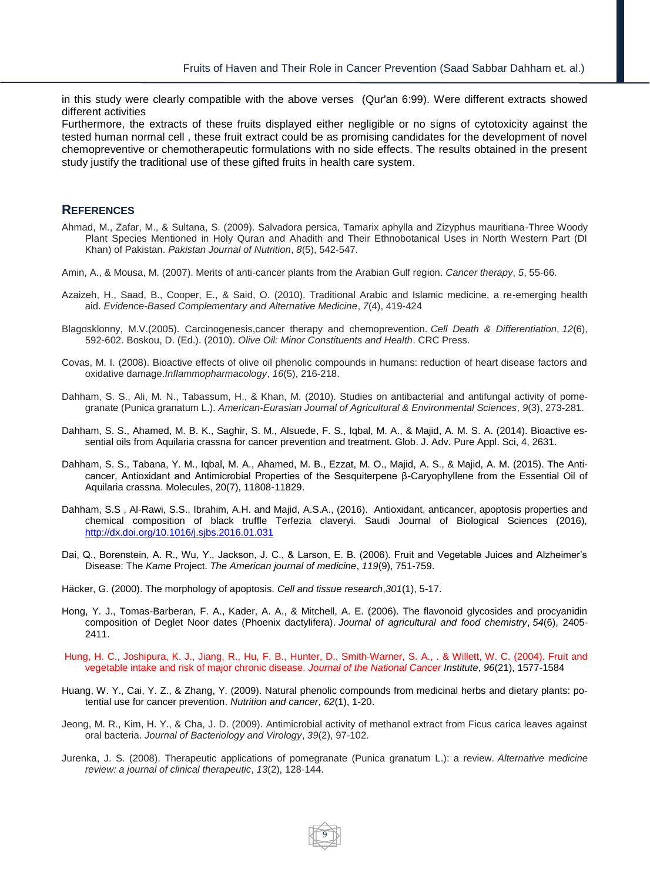in this study were clearly compatible with the above verses (Qur'an 6:99). Were different extracts showed different activities

Furthermore, the extracts of these fruits displayed either negligible or no signs of cytotoxicity against the tested human normal cell , these fruit extract could be as promising candidates for the development of novel chemopreventive or chemotherapeutic formulations with no side effects. The results obtained in the present study justify the traditional use of these gifted fruits in health care system.

### **REFERENCES**

- Ahmad, M., Zafar, M., & Sultana, S. (2009). Salvadora persica, Tamarix aphylla and Zizyphus mauritiana-Three Woody Plant Species Mentioned in Holy Quran and Ahadith and Their Ethnobotanical Uses in North Western Part (DI Khan) of Pakistan. *Pakistan Journal of Nutrition*, *8*(5), 542-547.
- Amin, A., & Mousa, M. (2007). Merits of anti-cancer plants from the Arabian Gulf region. *Cancer therapy*, *5*, 55-66.
- Azaizeh, H., Saad, B., Cooper, E., & Said, O. (2010). Traditional Arabic and Islamic medicine, a re-emerging health aid. *Evidence-Based Complementary and Alternative Medicine*, *7*(4), 419-424
- Blagosklonny, M.V.(2005). Carcinogenesis,cancer therapy and chemoprevention. *Cell Death & Differentiation*, *12*(6), 592-602. Boskou, D. (Ed.). (2010). *Olive Oil: Minor Constituents and Health*. CRC Press.
- Covas, M. I. (2008). Bioactive effects of olive oil phenolic compounds in humans: reduction of heart disease factors and oxidative damage.*Inflammopharmacology*, *16*(5), 216-218.
- Dahham, S. S., Ali, M. N., Tabassum, H., & Khan, M. (2010). Studies on antibacterial and antifungal activity of pomegranate (Punica granatum L.). *American-Eurasian Journal of Agricultural & Environmental Sciences*, *9*(3), 273-281.
- Dahham, S. S., Ahamed, M. B. K., Saghir, S. M., Alsuede, F. S., Iqbal, M. A., & Majid, A. M. S. A. (2014). Bioactive essential oils from Aquilaria crassna for cancer prevention and treatment. Glob. J. Adv. Pure Appl. Sci, 4, 2631.
- Dahham, S. S., Tabana, Y. M., Iqbal, M. A., Ahamed, M. B., Ezzat, M. O., Majid, A. S., & Majid, A. M. (2015). The Anticancer, Antioxidant and Antimicrobial Properties of the Sesquiterpene β-Caryophyllene from the Essential Oil of Aquilaria crassna. Molecules, 20(7), 11808-11829.
- Dahham, S.S , Al-Rawi, S.S., Ibrahim, A.H. and Majid, A.S.A., (2016). Antioxidant, anticancer, apoptosis properties and chemical composition of black truffle Terfezia claveryi. Saudi Journal of Biological Sciences (2016), <http://dx.doi.org/10.1016/j.sjbs.2016.01.031>
- Dai, Q., Borenstein, A. R., Wu, Y., Jackson, J. C., & Larson, E. B. (2006). Fruit and Vegetable Juices and Alzheimer's Disease: The *Kame* Project. *The American journal of medicine*, *119*(9), 751-759.
- Häcker, G. (2000). The morphology of apoptosis. *Cell and tissue research*,*301*(1), 5-17.
- Hong, Y. J., Tomas-Barberan, F. A., Kader, A. A., & Mitchell, A. E. (2006). The flavonoid glycosides and procyanidin composition of Deglet Noor dates (Phoenix dactylifera). *Journal of agricultural and food chemistry*, *54*(6), 2405- 2411.
- Hung, H. C., Joshipura, K. J., Jiang, R., Hu, F. B., Hunter, D., Smith-Warner, S. A., . & Willett, W. C. (2004). Fruit and vegetable intake and risk of major chronic disease. *Journal of the National Cancer Institute*, *96*(21), 1577-1584
- Huang, W. Y., Cai, Y. Z., & Zhang, Y. (2009). Natural phenolic compounds from medicinal herbs and dietary plants: potential use for cancer prevention. *Nutrition and cancer*, *62*(1), 1-20.
- Jeong, M. R., Kim, H. Y., & Cha, J. D. (2009). Antimicrobial activity of methanol extract from Ficus carica leaves against oral bacteria. *Journal of Bacteriology and Virology*, *39*(2), 97-102.
- Jurenka, J. S. (2008). Therapeutic applications of pomegranate (Punica granatum L.): a review. *Alternative medicine review: a journal of clinical therapeutic*, *13*(2), 128-144.

9